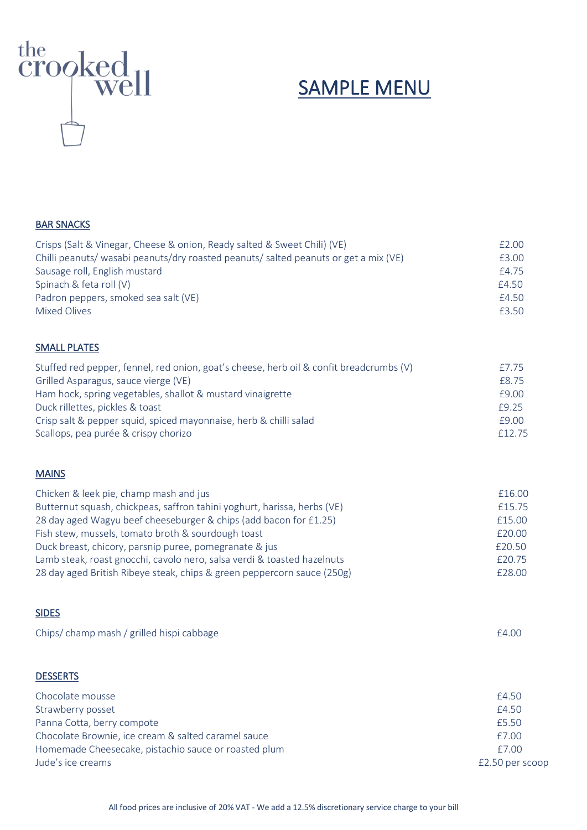

# SAMPLE MENU

#### BAR SNACKS

| Crisps (Salt & Vinegar, Cheese & onion, Ready salted & Sweet Chili) (VE)             | £2.00 |
|--------------------------------------------------------------------------------------|-------|
| Chilli peanuts/ wasabi peanuts/dry roasted peanuts/ salted peanuts or get a mix (VE) | £3.00 |
| Sausage roll, English mustard                                                        | £4.75 |
| Spinach & feta roll (V)                                                              | £4.50 |
| Padron peppers, smoked sea salt (VE)                                                 | f4.50 |
| Mixed Olives                                                                         | £3.50 |
|                                                                                      |       |

#### SMALL PLATES

| Stuffed red pepper, fennel, red onion, goat's cheese, herb oil & confit breadcrumbs (V) | £7.75  |
|-----------------------------------------------------------------------------------------|--------|
| Grilled Asparagus, sauce vierge (VE)                                                    | £8.75  |
| Ham hock, spring vegetables, shallot & mustard vinaigrette                              | £9.00  |
| Duck rillettes, pickles & toast                                                         | £9.25  |
| Crisp salt & pepper squid, spiced mayonnaise, herb & chilli salad                       | £9.00  |
| Scallops, pea purée & crispy chorizo                                                    | £12.75 |

#### MAINS

| Chicken & leek pie, champ mash and jus                                   | £16.00 |
|--------------------------------------------------------------------------|--------|
| Butternut squash, chickpeas, saffron tahini yoghurt, harissa, herbs (VE) | £15.75 |
| 28 day aged Wagyu beef cheeseburger & chips (add bacon for £1.25)        | £15.00 |
| Fish stew, mussels, tomato broth & sourdough toast                       | £20.00 |
| Duck breast, chicory, parsnip puree, pomegranate & jus                   | £20.50 |
| Lamb steak, roast gnocchi, cavolo nero, salsa verdi & toasted hazelnuts  | £20.75 |
| 28 day aged British Ribeye steak, chips & green peppercorn sauce (250g)  | £28.00 |

#### SIDES

| Chips/champ mash / grilled hispi cabbage             | £4.00           |
|------------------------------------------------------|-----------------|
| <b>DESSERTS</b>                                      |                 |
| Chocolate mousse                                     | £4.50           |
| Strawberry posset                                    | £4.50           |
| Panna Cotta, berry compote                           | £5.50           |
| Chocolate Brownie, ice cream & salted caramel sauce  | £7.00           |
| Homemade Cheesecake, pistachio sauce or roasted plum | £7.00           |
| Jude's ice creams                                    | £2.50 per scoop |